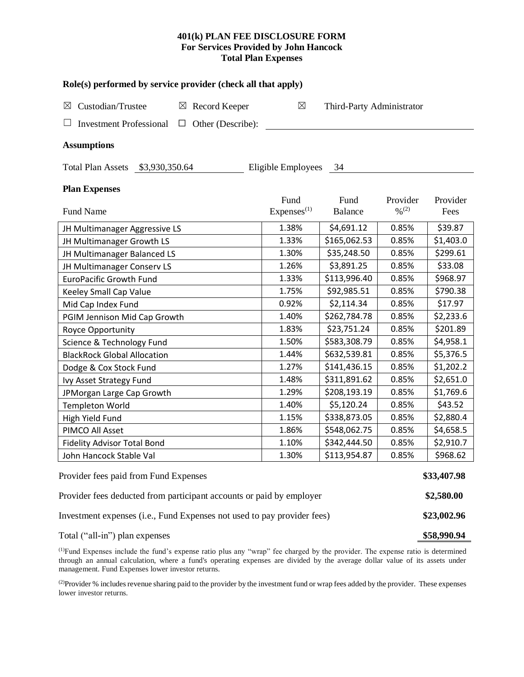## **401(k) PLAN FEE DISCLOSURE FORM For Services Provided by John Hancock Total Plan Expenses**

| Role(s) performed by service provider (check all that apply)            |                                |                           |                                          |                  |  |  |  |  |  |  |
|-------------------------------------------------------------------------|--------------------------------|---------------------------|------------------------------------------|------------------|--|--|--|--|--|--|
| Custodian/Trustee<br>$\boxtimes$<br>Record Keeper<br>⊠                  | $\boxtimes$                    | Third-Party Administrator |                                          |                  |  |  |  |  |  |  |
| Other (Describe):<br><b>Investment Professional</b><br>$\Box$           |                                |                           |                                          |                  |  |  |  |  |  |  |
| <b>Assumptions</b>                                                      |                                |                           |                                          |                  |  |  |  |  |  |  |
| Eligible Employees<br>Total Plan Assets \$3,930,350.64<br>- 34          |                                |                           |                                          |                  |  |  |  |  |  |  |
| <b>Plan Expenses</b>                                                    |                                |                           |                                          |                  |  |  |  |  |  |  |
| Fund Name                                                               | Fund<br>Express <sup>(1)</sup> | Fund<br><b>Balance</b>    | Provider<br>$\frac{0}{2}$ <sup>(2)</sup> | Provider<br>Fees |  |  |  |  |  |  |
| JH Multimanager Aggressive LS                                           | 1.38%                          | \$4,691.12                | 0.85%                                    | \$39.87          |  |  |  |  |  |  |
| JH Multimanager Growth LS                                               | 1.33%                          | \$165,062.53              | 0.85%                                    | \$1,403.0        |  |  |  |  |  |  |
| JH Multimanager Balanced LS                                             | 1.30%                          | \$35,248.50               | 0.85%                                    | \$299.61         |  |  |  |  |  |  |
| JH Multimanager Conserv LS                                              | 1.26%                          | \$3,891.25                | 0.85%                                    | \$33.08          |  |  |  |  |  |  |
| <b>EuroPacific Growth Fund</b>                                          | 1.33%                          | \$113,996.40              | 0.85%                                    | \$968.97         |  |  |  |  |  |  |
| Keeley Small Cap Value                                                  | 1.75%                          | \$92,985.51               | 0.85%                                    | \$790.38         |  |  |  |  |  |  |
| Mid Cap Index Fund                                                      | 0.92%                          | \$2,114.34                | 0.85%                                    | \$17.97          |  |  |  |  |  |  |
| PGIM Jennison Mid Cap Growth                                            | 1.40%                          | \$262,784.78              | 0.85%                                    | \$2,233.6        |  |  |  |  |  |  |
| Royce Opportunity                                                       | 1.83%                          | \$23,751.24               | 0.85%                                    | \$201.89         |  |  |  |  |  |  |
| Science & Technology Fund                                               | 1.50%                          | \$583,308.79              | 0.85%                                    | \$4,958.1        |  |  |  |  |  |  |
| <b>BlackRock Global Allocation</b>                                      | 1.44%                          | \$632,539.81              | 0.85%                                    | \$5,376.5        |  |  |  |  |  |  |
| Dodge & Cox Stock Fund                                                  | 1.27%                          | \$141,436.15              | 0.85%                                    | \$1,202.2        |  |  |  |  |  |  |
| Ivy Asset Strategy Fund                                                 | 1.48%                          | \$311,891.62              | 0.85%                                    | \$2,651.0        |  |  |  |  |  |  |
| JPMorgan Large Cap Growth                                               | 1.29%                          | \$208,193.19              | 0.85%                                    | \$1,769.6        |  |  |  |  |  |  |
| <b>Templeton World</b>                                                  | 1.40%                          | \$5,120.24                | 0.85%                                    | \$43.52          |  |  |  |  |  |  |
| High Yield Fund                                                         | 1.15%                          | \$338,873.05              | 0.85%                                    | \$2,880.4        |  |  |  |  |  |  |
| PIMCO All Asset                                                         | 1.86%                          | \$548,062.75              | 0.85%                                    | \$4,658.5        |  |  |  |  |  |  |
| <b>Fidelity Advisor Total Bond</b>                                      | 1.10%                          | \$342,444.50              | 0.85%                                    | \$2,910.7        |  |  |  |  |  |  |
| John Hancock Stable Val                                                 | 1.30%                          | \$113,954.87              | 0.85%                                    | \$968.62         |  |  |  |  |  |  |
| Provider fees paid from Fund Expenses                                   |                                |                           |                                          |                  |  |  |  |  |  |  |
| Provider fees deducted from participant accounts or paid by employer    |                                |                           |                                          |                  |  |  |  |  |  |  |
| Investment expenses (i.e., Fund Expenses not used to pay provider fees) |                                |                           |                                          |                  |  |  |  |  |  |  |
| Total ("all-in") plan expenses                                          |                                |                           |                                          |                  |  |  |  |  |  |  |

(1)Fund Expenses include the fund's expense ratio plus any "wrap" fee charged by the provider. The expense ratio is determined through an annual calculation, where a fund's operating expenses are divided by the average dollar value of its assets under management. Fund Expenses lower investor returns.

<sup>(2)</sup>Provider % includes revenue sharing paid to the provider by the investment fund or wrap fees added by the provider. These expenses lower investor returns.